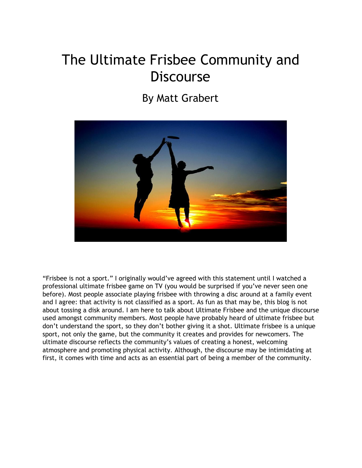# The Ultimate Frisbee Community and **Discourse**

## By Matt Grabert



"Frisbee is not a sport." I originally would've agreed with this statement until I watched a professional ultimate frisbee game on TV (you would be surprised if you've never seen one before). Most people associate playing frisbee with throwing a disc around at a family event and I agree: that activity is not classified as a sport. As fun as that may be, this blog is not about tossing a disk around. I am here to talk about Ultimate Frisbee and the unique discourse used amongst community members. Most people have probably heard of ultimate frisbee but don't understand the sport, so they don't bother giving it a shot. Ultimate frisbee is a unique sport, not only the game, but the community it creates and provides for newcomers. The ultimate discourse reflects the community's values of creating a honest, welcoming atmosphere and promoting physical activity. Although, the discourse may be intimidating at first, it comes with time and acts as an essential part of being a member of the community.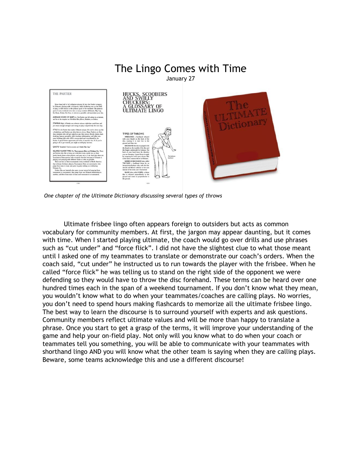

*One chapter of the Ultimate Dictionary discussing several types of throws*

Ultimate frisbee lingo often appears foreign to outsiders but acts as common vocabulary for community members. At first, the jargon may appear daunting, but it comes with time. When I started playing ultimate, the coach would go over drills and use phrases such as "cut under" and "force flick". I did not have the slightest clue to what those meant until I asked one of my teammates to translate or demonstrate our coach's orders. When the coach said, "cut under" he instructed us to run towards the player with the frisbee. When he called "force flick" he was telling us to stand on the right side of the opponent we were defending so they would have to throw the disc forehand. These terms can be heard over one hundred times each in the span of a weekend tournament. If you don't know what they mean, you wouldn't know what to do when your teammates/coaches are calling plays. No worries, you don't need to spend hours making flashcards to memorize all the ultimate frisbee lingo. The best way to learn the discourse is to surround yourself with experts and ask questions. Community members reflect ultimate values and will be more than happy to translate a phrase. Once you start to get a grasp of the terms, it will improve your understanding of the game and help your on-field play. Not only will you know what to do when your coach or teammates tell you something, you will be able to communicate with your teammates with shorthand lingo AND you will know what the other team is saying when they are calling plays. Beware, some teams acknowledge this and use a different discourse!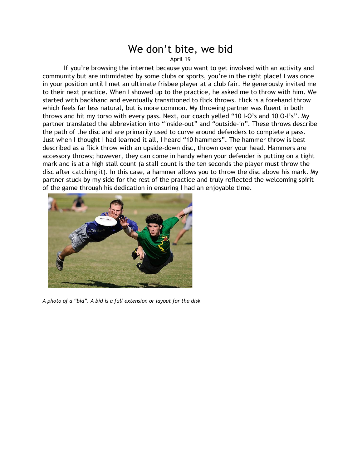### We don't bite, we bid

April 19

If you're browsing the internet because you want to get involved with an activity and community but are intimidated by some clubs or sports, you're in the right place! I was once in your position until I met an ultimate frisbee player at a club fair. He generously invited me to their next practice. When I showed up to the practice, he asked me to throw with him. We started with backhand and eventually transitioned to flick throws. Flick is a forehand throw which feels far less natural, but is more common. My throwing partner was fluent in both throws and hit my torso with every pass. Next, our coach yelled "10 I-O's and 10 O-I's". My partner translated the abbreviation into "inside-out" and "outside-in". These throws describe the path of the disc and are primarily used to curve around defenders to complete a pass. Just when I thought I had learned it all, I heard "10 hammers". The hammer throw is best described as a flick throw with an upside-down disc, thrown over your head. Hammers are accessory throws; however, they can come in handy when your defender is putting on a tight mark and is at a high stall count (a stall count is the ten seconds the player must throw the disc after catching it). In this case, a hammer allows you to throw the disc above his mark. My partner stuck by my side for the rest of the practice and truly reflected the welcoming spirit of the game through his dedication in ensuring I had an enjoyable time.



*A photo of a "bid". A bid is a full extension or layout for the disk*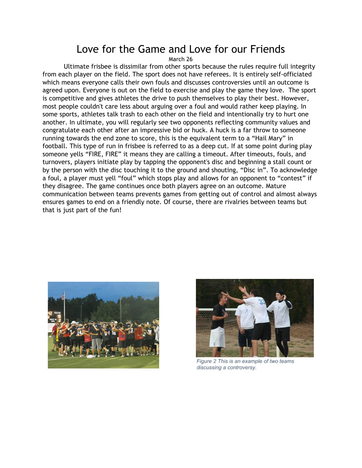### Love for the Game and Love for our Friends

March 26

Ultimate frisbee is dissimilar from other sports because the rules require full integrity from each player on the field. The sport does not have referees. It is entirely self-officiated which means everyone calls their own fouls and discusses controversies until an outcome is agreed upon. Everyone is out on the field to exercise and play the game they love. The sport is competitive and gives athletes the drive to push themselves to play their best. However, most people couldn't care less about arguing over a foul and would rather keep playing. In some sports, athletes talk trash to each other on the field and intentionally try to hurt one another. In ultimate, you will regularly see two opponents reflecting community values and congratulate each other after an impressive bid or huck. A huck is a far throw to someone running towards the end zone to score, this is the equivalent term to a "Hail Mary" in football. This type of run in frisbee is referred to as a deep cut. If at some point during play someone yells "FIRE, FIRE" it means they are calling a timeout. After timeouts, fouls, and turnovers, players initiate play by tapping the opponent's disc and beginning a stall count or by the person with the disc touching it to the ground and shouting, "Disc in". To acknowledge a foul, a player must yell "foul" which stops play and allows for an opponent to "contest" if they disagree. The game continues once both players agree on an outcome. Mature communication between teams prevents games from getting out of control and almost always ensures games to end on a friendly note. Of course, there are rivalries between teams but that is just part of the fun!





Figure 2 This is an example of two teams discussing a controversy.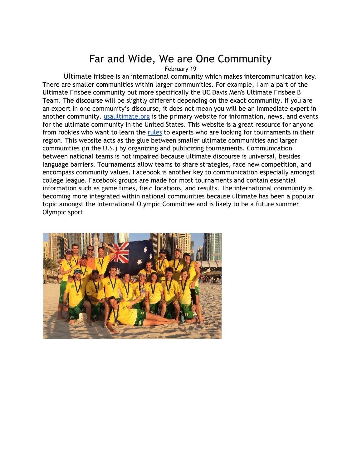## Far and Wide, We are One Community

February 19

Ultimate frisbee is an international community which makes intercommunication key. There are smaller communities within larger communities. For example, I am a part of the Ultimate Frisbee community but more specifically the UC Davis Men's Ultimate Frisbee B Team. The discourse will be slightly different depending on the exact community. If you are an expert in one community's discourse, it does not mean you will be an immediate expert in another community. [usaultimate.org](http://www.usaultimate.org/) is the primary website for information, news, and events for the ultimate community in the United States. This website is a great resource for anyone from rookies who want to learn the [rules](http://www.usaultimate.org/resources/officiating/rules/default.aspx#10simplerules) to experts who are looking for tournaments in their region. This website acts as the glue between smaller ultimate communities and larger communities (in the U.S.) by organizing and publicizing tournaments. Communication between national teams is not impaired because ultimate discourse is universal, besides language barriers. Tournaments allow teams to share strategies, face new competition, and encompass community values. Facebook is another key to communication especially amongst college league. Facebook groups are made for most tournaments and contain essential information such as game times, field locations, and results. The international community is becoming more integrated within national communities because ultimate has been a popular topic amongst the International Olympic Committee and is likely to be a future summer Olympic sport.